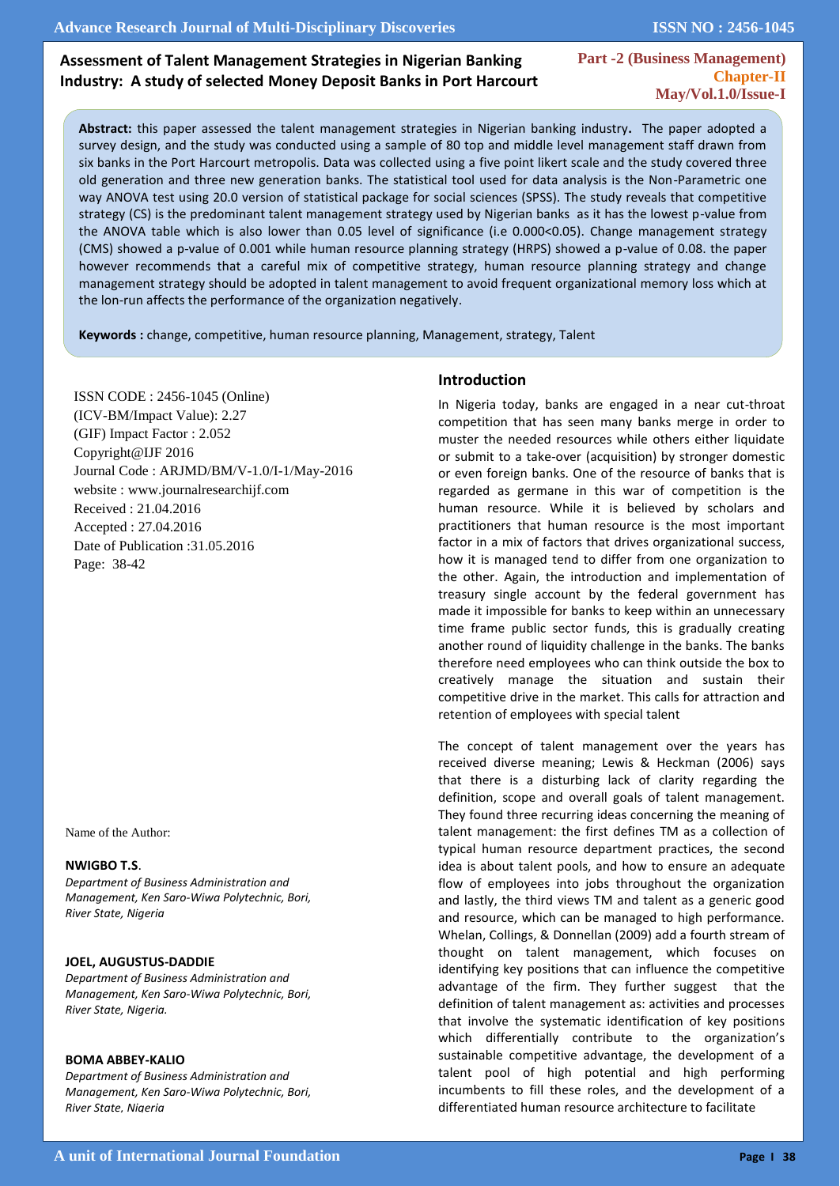**ISSN NO : 2456-1045**

# **Assessment of Talent Management Strategies in Nigerian Banking Industry: A study of selected Money Deposit Banks in Port Harcourt**

**Part -2 (Business Management) Chapter-II May/Vol.1.0/Issue-I** 

**Abstract:** this paper assessed the talent management strategies in Nigerian banking industry**.** The paper adopted a survey design, and the study was conducted using a sample of 80 top and middle level management staff drawn from six banks in the Port Harcourt metropolis. Data was collected using a five point likert scale and the study covered three old generation and three new generation banks. The statistical tool used for data analysis is the Non-Parametric one way ANOVA test using 20.0 version of statistical package for social sciences (SPSS). The study reveals that competitive strategy (CS) is the predominant talent management strategy used by Nigerian banks as it has the lowest p-value from the ANOVA table which is also lower than 0.05 level of significance (i.e 0.000<0.05). Change management strategy (CMS) showed a p-value of 0.001 while human resource planning strategy (HRPS) showed a p-value of 0.08. the paper however recommends that a careful mix of competitive strategy, human resource planning strategy and change management strategy should be adopted in talent management to avoid frequent organizational memory loss which at the lon-run affects the performance of the organization negatively.

**Keywords :** change, competitive, human resource planning, Management, strategy, Talent

ISSN CODE : 2456-1045 (Online) (ICV-BM/Impact Value): 2.27 (GIF) Impact Factor : 2.052 Copyright@IJF 2016 Journal Code : ARJMD/BM/V-1.0/I-1/May-2016 website : www.journalresearchijf.com Received : 21.04.2016 Accepted : 27.04.2016 Date of Publication :31.05.2016 Page: 38-42

Name of the Author:

#### **NWIGBO T.S**.

I

*Department of Business Administration and Management, Ken Saro-Wiwa Polytechnic, Bori, River State, Nigeria*

#### **JOEL, AUGUSTUS-DADDIE**

*Department of Business Administration and Management, Ken Saro-Wiwa Polytechnic, Bori, River State, Nigeria.*

#### **BOMA ABBEY-KALIO**

*Department of Business Administration and Management, Ken Saro-Wiwa Polytechnic, Bori, River State, Nigeria*

#### **Introduction**

In Nigeria today, banks are engaged in a near cut-throat competition that has seen many banks merge in order to muster the needed resources while others either liquidate or submit to a take-over (acquisition) by stronger domestic or even foreign banks. One of the resource of banks that is regarded as germane in this war of competition is the human resource. While it is believed by scholars and practitioners that human resource is the most important factor in a mix of factors that drives organizational success, how it is managed tend to differ from one organization to the other. Again, the introduction and implementation of treasury single account by the federal government has made it impossible for banks to keep within an unnecessary time frame public sector funds, this is gradually creating another round of liquidity challenge in the banks. The banks therefore need employees who can think outside the box to creatively manage the situation and sustain their competitive drive in the market. This calls for attraction and retention of employees with special talent

The concept of talent management over the years has received diverse meaning; Lewis & Heckman (2006) says that there is a disturbing lack of clarity regarding the definition, scope and overall goals of talent management. They found three recurring ideas concerning the meaning of talent management: the first defines TM as a collection of typical human resource department practices, the second idea is about talent pools, and how to ensure an adequate flow of employees into jobs throughout the organization and lastly, the third views TM and talent as a generic good and resource, which can be managed to high performance. Whelan, Collings, & Donnellan (2009) add a fourth stream of thought on talent management, which focuses on identifying key positions that can influence the competitive advantage of the firm. They further suggest that the definition of talent management as: activities and processes that involve the systematic identification of key positions which differentially contribute to the organization's sustainable competitive advantage, the development of a talent pool of high potential and high performing incumbents to fill these roles, and the development of a differentiated human resource architecture to facilitate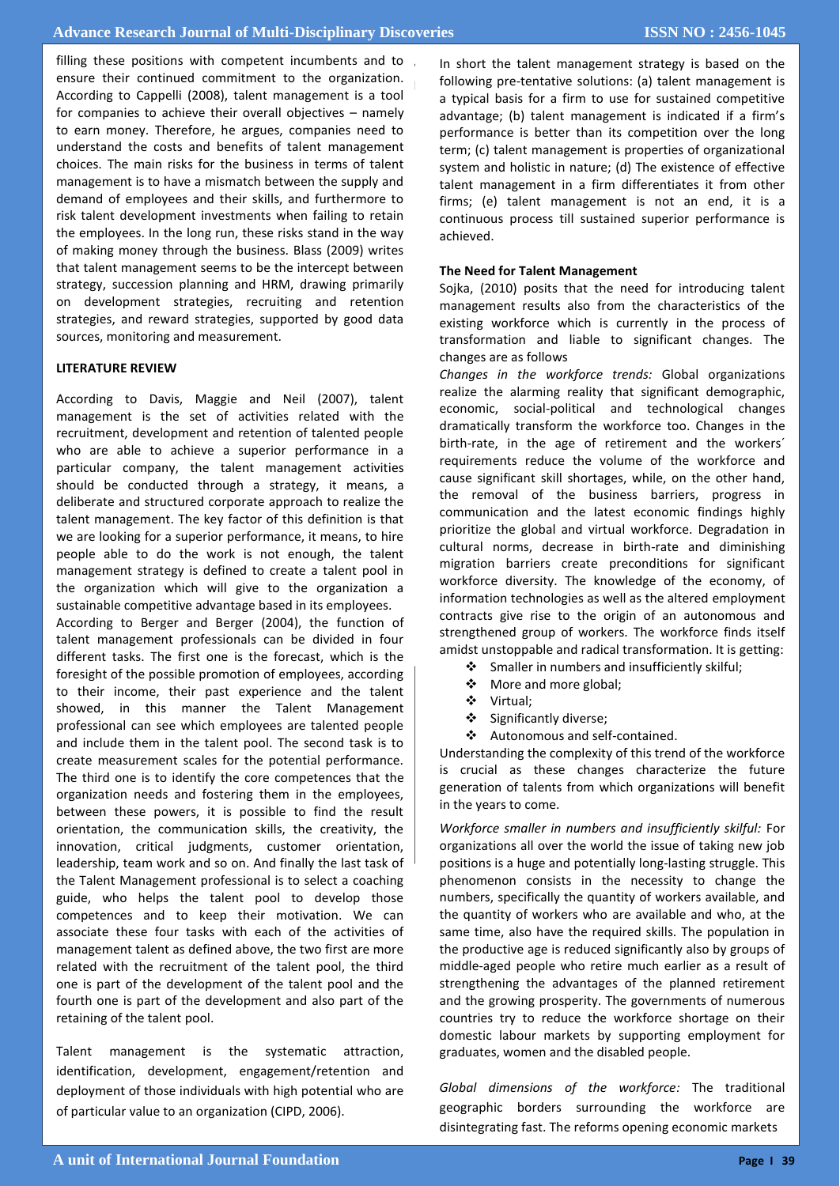Figure 10 the difference in student's and to the student's and to the organization. **&batch2008 performance between traditional lecture and**  According to Cappelli (2008), talent management is a tool **PBL:-** for companies to achieve their overall objectives – namely filling these positions with competent incumbents and to to earn money. Therefore, he argues, companies need to understand the costs and benefits of talent management choices. The main risks for the business in terms of talent management is to have a mismatch between the supply and demand of employees and their skills, and furthermore to risk talent development investments when failing to retain the employees. In the long run, these risks stand in the way of making money through the business. Blass (2009) writes that talent management seems to be the intercept between strategy, succession planning and HRM, drawing primarily on development strategies, recruiting and retention strategies, and reward strategies, supported by good data sources, monitoring and measurement.

#### **LITERATURE REVIEW**

**Student impression Frequency Percentage** According to Davis, Maggie and Neil (2007), talent management is the set of activities related with the who are able to achieve a superior performance in a particular company, the talent management activities **Fair course** 7 9.6 deliberate and structured corporate approach to realize the we are looking for a superior performance, it means, to hire **Total 73 100%** people able to do the work is not enough, the talent recruitment, development and retention of talented people should be conducted through a strategy, it means, a talent management. The key factor of this definition is that management strategy is defined to create a talent pool in the organization which will give to the organization a sustainable competitive advantage based in its employees.

According to Berger and Berger (2004), the function of **contents** talent management professionals can be divided in four foresight of the possible promotion of employees, according showed, in this manner the Talent Management professional can see which employees are talented people<br>can include them in the talent need. The account task is to create measurement scales for the potential performance. organization needs and fostering them in the employees, between these powers, it is possible to find the result **Total 73 100%** innovation, critical judgments, customer orientation, guide, who helps the talent pool to develop those **elements:-** associate these four tasks with each of the activities of different tasks. The first one is the forecast, which is the to their income, their past experience and the talent and include them in the talent pool. The second task is to The third one is to identify the core competences that the orientation, the communication skills, the creativity, the leadership, team work and so on. And finally the last task of the Talent Management professional is to select a coaching competences and to keep their motivation. We can management talent as defined above, the two first are more related with the recruitment of the talent pool, the third one is part of the development of the talent pool and the fourth one is part of the development and also part of the retaining of the talent pool.

Talent management is the systematic attraction, identification, development, engagement/retention and deployment of those individuals with high potential who are of particular value to an organization (CIPD, 2006).

In short the talent management strategy is based on the  $\int$ onormig procentative obtained (a) cannot manigement to<br>a typical basis for a firm to use for sustained competitive advantage; (b) talent management is indicated if a firm's performance is better than its competition over the long term; (c) talent management is properties of organizational system and holistic in nature; (d) The existence of effective talent management in a firm differentiates it from other structure indicated to more and the structure continuous process till sustained superior performance is achieved following pre-tentative solutions: (a) talent management is firms; (e) talent management is not an end, it is a achieved.

## **The Need for Talent Management**

Sojka, (2010) posits that the need for introducing talent existing workforce which is currently in the process of **Study design :** This study was descriptive cross sectional management results also from the characteristics of the transformation and liable to significant changes. The changes are as follows

*Changes in the workforce trends:* Global organizations realize the alarming reality that significant demographic, economic, social-political and technological changes birth-rate, in the age of retirement and the workers<sup>'</sup> requirements reduce the volume of the workforce and cause significant skill shortages, while, on the other hand, the removal of the business barriers, progress in communication and the latest economic findings highly prioritize the global and virtual workforce. Degradation in cultural norms, decrease in birth-rate and diminishing workforce diversity. The knowledge of the economy, of information technologies as well as the altered employment strengthened group of workers. The workforce finds itself amidst unstoppable and radical transformation. It is getting: dramatically transform the workforce too. Changes in the migration barriers create preconditions for significant contracts give rise to the origin of an autonomous and

- Smaller in numbers and insufficiently skilful;
- **EXECO** More and more global;
- $\mathbf{\ddot{o}}$  Virtual Virtual;
- $\div$  Significantly diverse;
- $\div$  Autonomous and self-contained.

Understanding the complexity of this trend of the workforce **Democration of telepha from which approximations** will happelit generation of talents from which organizations will benefit in the contract of the street of the street of the in the years to come.<br> is crucial as these changes characterize the future

*Workforce smaller in numbers and insufficiently skilful: For* positions is a huge and potentially long-lasting struggle. This phenomenon consists in the necessity to change the numbers, specifically the quantity of workers available, and the quantity of workers who are available and who, at the same time, also have the required skills. The population in middle-aged people who retire much earlier as a result of strengthening the advantages of the planned retirement organizations all over the world the issue of taking new job the productive age is reduced significantly also by groups of and the growing prosperity. The governments of numerous countries try to reduce the workforce shortage on their domestic labour markets by supporting employment for graduates, women and the disabled people.

*Global dimensions of the workforce:* The traditional geographic borders surrounding the workforce are disintegrating fast. The reforms opening economic markets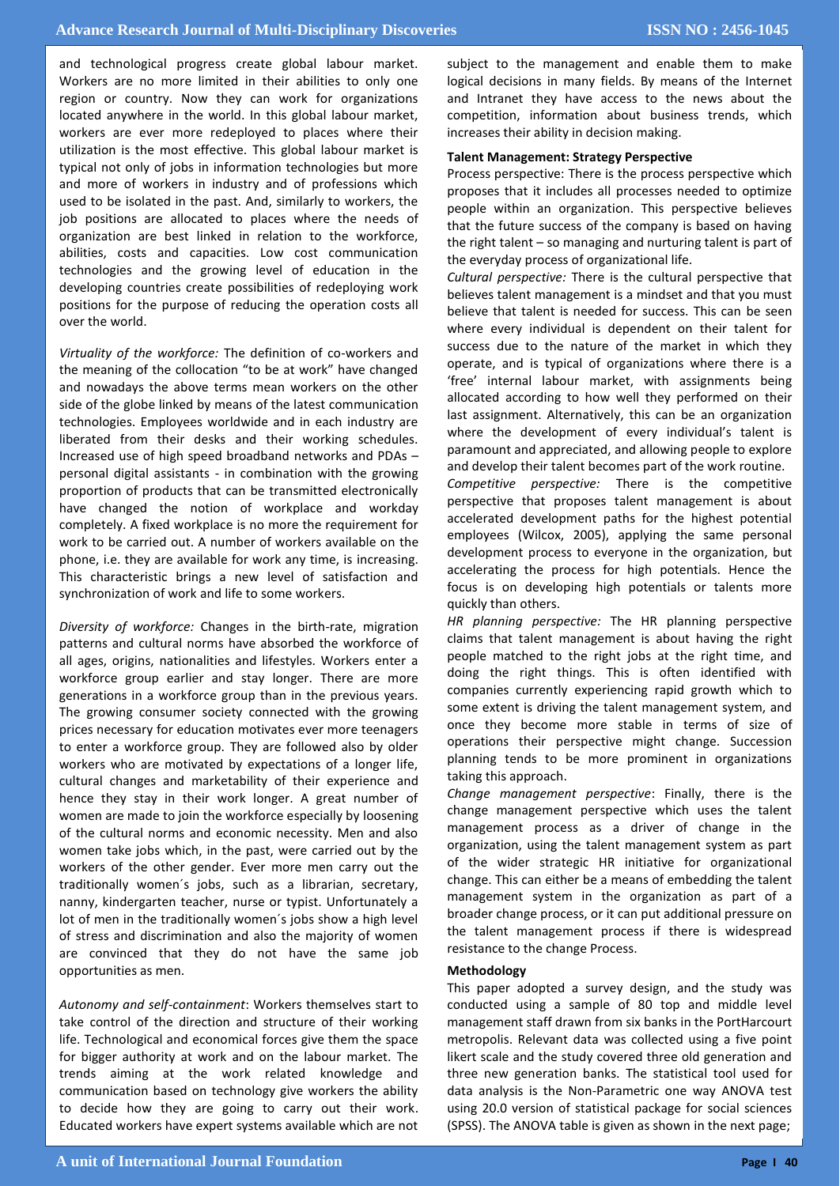and technological progress create global labour market. Workers are no more limited in their abilities to only one region or country. Now they can work for organizations located anywhere in the world. In this global labour market, workers are ever more redeployed to places where their utilization is the most effective. This global labour market is typical not only of jobs in information technologies but more and more of workers in industry and of professions which used to be isolated in the past. And, similarly to workers, the job positions are allocated to places where the needs of organization are best linked in relation to the workforce, abilities, costs and capacities. Low cost communication technologies and the growing level of education in the developing countries create possibilities of redeploying work positions for the purpose of reducing the operation costs all over the world.

*Virtuality of the workforce:* The definition of co-workers and the meaning of the collocation "to be at work" have changed and nowadays the above terms mean workers on the other side of the globe linked by means of the latest communication technologies. Employees worldwide and in each industry are liberated from their desks and their working schedules. Increased use of high speed broadband networks and PDAs – personal digital assistants - in combination with the growing proportion of products that can be transmitted electronically have changed the notion of workplace and workday completely. A fixed workplace is no more the requirement for work to be carried out. A number of workers available on the phone, i.e. they are available for work any time, is increasing. This characteristic brings a new level of satisfaction and synchronization of work and life to some workers.

*Diversity of workforce:* Changes in the birth-rate, migration patterns and cultural norms have absorbed the workforce of all ages, origins, nationalities and lifestyles. Workers enter a workforce group earlier and stay longer. There are more generations in a workforce group than in the previous years. The growing consumer society connected with the growing prices necessary for education motivates ever more teenagers to enter a workforce group. They are followed also by older workers who are motivated by expectations of a longer life, cultural changes and marketability of their experience and hence they stay in their work longer. A great number of women are made to join the workforce especially by loosening of the cultural norms and economic necessity. Men and also women take jobs which, in the past, were carried out by the workers of the other gender. Ever more men carry out the traditionally women´s jobs, such as a librarian, secretary, nanny, kindergarten teacher, nurse or typist. Unfortunately a lot of men in the traditionally women´s jobs show a high level of stress and discrimination and also the majority of women are convinced that they do not have the same job opportunities as men.

*Autonomy and self-containment*: Workers themselves start to take control of the direction and structure of their working life. Technological and economical forces give them the space for bigger authority at work and on the labour market. The trends aiming at the work related knowledge and communication based on technology give workers the ability to decide how they are going to carry out their work. Educated workers have expert systems available which are not subject to the management and enable them to make logical decisions in many fields. By means of the Internet and Intranet they have access to the news about the competition, information about business trends, which increases their ability in decision making.

#### **Talent Management: Strategy Perspective**

Process perspective: There is the process perspective which proposes that it includes all processes needed to optimize people within an organization. This perspective believes that the future success of the company is based on having the right talent – so managing and nurturing talent is part of the everyday process of organizational life.

*Cultural perspective:* There is the cultural perspective that believes talent management is a mindset and that you must believe that talent is needed for success. This can be seen where every individual is dependent on their talent for success due to the nature of the market in which they operate, and is typical of organizations where there is a 'free' internal labour market, with assignments being allocated according to how well they performed on their last assignment. Alternatively, this can be an organization where the development of every individual's talent is paramount and appreciated, and allowing people to explore and develop their talent becomes part of the work routine. *Competitive perspective:* There is the competitive perspective that proposes talent management is about accelerated development paths for the highest potential employees (Wilcox, 2005), applying the same personal development process to everyone in the organization, but accelerating the process for high potentials. Hence the focus is on developing high potentials or talents more quickly than others.

*HR planning perspective:* The HR planning perspective claims that talent management is about having the right people matched to the right jobs at the right time, and doing the right things. This is often identified with companies currently experiencing rapid growth which to some extent is driving the talent management system, and once they become more stable in terms of size of operations their perspective might change. Succession planning tends to be more prominent in organizations taking this approach.

*Change management perspective*: Finally, there is the change management perspective which uses the talent management process as a driver of change in the organization, using the talent management system as part of the wider strategic HR initiative for organizational change. This can either be a means of embedding the talent management system in the organization as part of a broader change process, or it can put additional pressure on the talent management process if there is widespread resistance to the change Process.

#### **Methodology**

This paper adopted a survey design, and the study was conducted using a sample of 80 top and middle level management staff drawn from six banks in the PortHarcourt metropolis. Relevant data was collected using a five point likert scale and the study covered three old generation and three new generation banks. The statistical tool used for data analysis is the Non-Parametric one way ANOVA test using 20.0 version of statistical package for social sciences (SPSS). The ANOVA table is given as shown in the next page;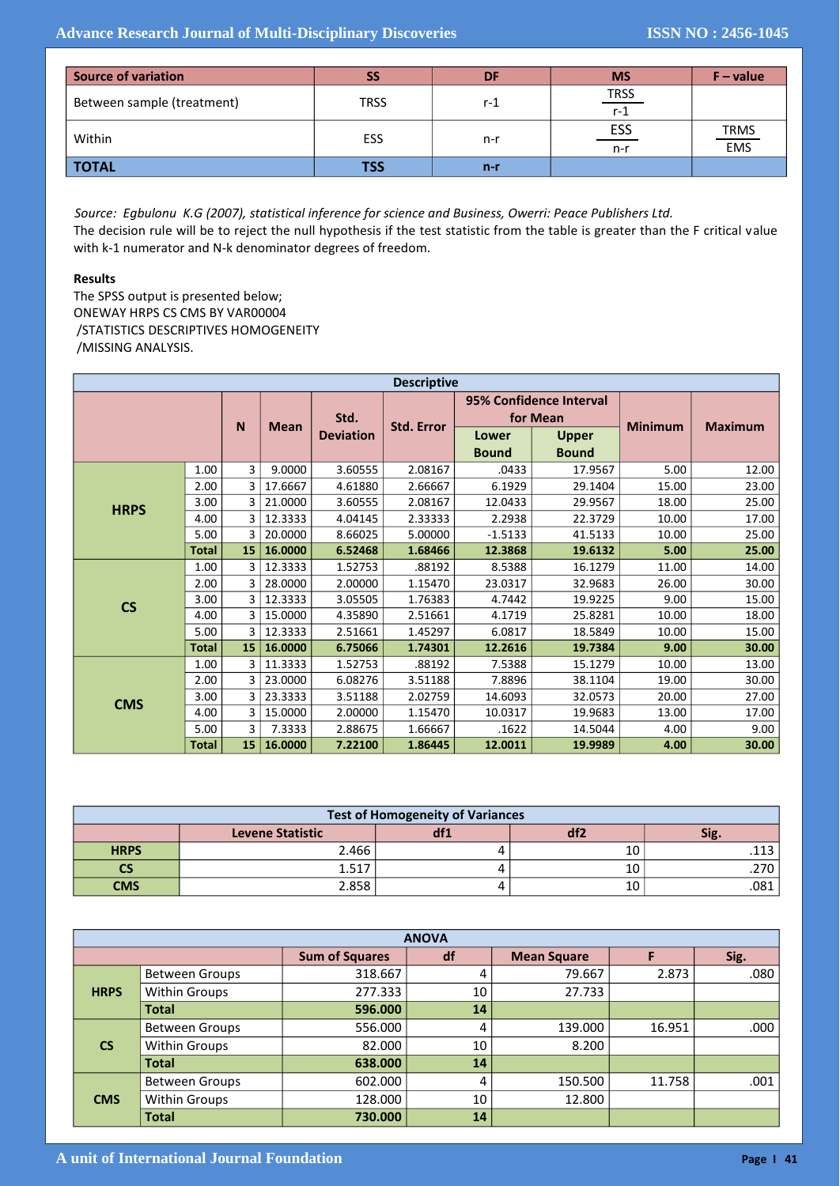| <b>Source of variation</b> | SS          | DF    | <b>MS</b>        | $F - value$ |
|----------------------------|-------------|-------|------------------|-------------|
| Between sample (treatment) | <b>TRSS</b> | r-1   | $rac{TRSS}{r-1}$ |             |
| Within                     | <b>ESS</b>  | n-r   | $rac{ESS}{n-r}$  | TRMS<br>EMS |
| <b>TOTAL</b>               | TSS         | $n-r$ |                  |             |

*Source: Egbulonu K.G (2007), statistical inference for science and Business, Owerri: Peace Publishers Ltd.* The decision rule will be to reject the null hypothesis if the test statistic from the table is greater than the F critical value with k-1 numerator and N-k denominator degrees of freedom.

### **Results**

The SPSS output is presented below; ONEWAY HRPS CS CMS BY VAR00004 /STATISTICS DESCRIPTIVES HOMOGENEITY /MISSING ANALYSIS.

| <b>Descriptive</b>       |              |                  |         |                  |                   |                                     |                              |                |                |
|--------------------------|--------------|------------------|---------|------------------|-------------------|-------------------------------------|------------------------------|----------------|----------------|
|                          |              | N<br><b>Mean</b> |         | Std.             | <b>Std. Error</b> | 95% Confidence Interval<br>for Mean |                              | <b>Minimum</b> | <b>Maximum</b> |
|                          |              |                  |         | <b>Deviation</b> |                   | Lower<br><b>Bound</b>               | <b>Upper</b><br><b>Bound</b> |                |                |
|                          | 1.00         | 3                | 9.0000  | 3.60555          | 2.08167           | .0433                               | 17.9567                      | 5.00           | 12.00          |
|                          | 2.00         | 3                | 17.6667 | 4.61880          | 2.66667           | 6.1929                              | 29.1404                      | 15.00          | 23.00          |
| <b>HRPS</b>              | 3.00         | 3                | 21.0000 | 3.60555          | 2.08167           | 12.0433                             | 29.9567                      | 18.00          | 25.00          |
|                          | 4.00         | 3                | 12.3333 | 4.04145          | 2.33333           | 2.2938                              | 22.3729                      | 10.00          | 17.00          |
|                          | 5.00         | 3                | 20.0000 | 8.66025          | 5.00000           | $-1.5133$                           | 41.5133                      | 10.00          | 25.00          |
|                          | <b>Total</b> | 15               | 16.0000 | 6.52468          | 1.68466           | 12.3868                             | 19.6132                      | 5.00           | 25.00          |
|                          | 1.00         | 3                | 12.3333 | 1.52753          | .88192            | 8.5388                              | 16.1279                      | 11.00          | 14.00          |
|                          | 2.00         | 3                | 28.0000 | 2.00000          | 1.15470           | 23.0317                             | 32.9683                      | 26.00          | 30.00          |
| $\mathsf{CS}\phantom{0}$ | 3.00         | 3                | 12.3333 | 3.05505          | 1.76383           | 4.7442                              | 19.9225                      | 9.00           | 15.00          |
|                          | 4.00         | 3                | 15.0000 | 4.35890          | 2.51661           | 4.1719                              | 25.8281                      | 10.00          | 18.00          |
|                          | 5.00         | 3                | 12.3333 | 2.51661          | 1.45297           | 6.0817                              | 18.5849                      | 10.00          | 15.00          |
|                          | <b>Total</b> | 15               | 16.0000 | 6.75066          | 1.74301           | 12.2616                             | 19.7384                      | 9.00           | 30.00          |
| <b>CMS</b>               | 1.00         | 3                | 11.3333 | 1.52753          | .88192            | 7.5388                              | 15.1279                      | 10.00          | 13.00          |
|                          | 2.00         | 3                | 23.0000 | 6.08276          | 3.51188           | 7.8896                              | 38.1104                      | 19.00          | 30.00          |
|                          | 3.00         | 3                | 23.3333 | 3.51188          | 2.02759           | 14.6093                             | 32.0573                      | 20.00          | 27.00          |
|                          | 4.00         | 3                | 15.0000 | 2.00000          | 1.15470           | 10.0317                             | 19.9683                      | 13.00          | 17.00          |
|                          | 5.00         | 3                | 7.3333  | 2.88675          | 1.66667           | .1622                               | 14.5044                      | 4.00           | 9.00           |
|                          | <b>Total</b> | 15               | 16.0000 | 7.22100          | 1.86445           | 12.0011                             | 19.9989                      | 4.00           | 30.00          |

| <b>Test of Homogeneity of Variances</b> |                         |     |     |      |  |  |  |
|-----------------------------------------|-------------------------|-----|-----|------|--|--|--|
|                                         | <b>Levene Statistic</b> | df1 | arz | Sig. |  |  |  |
| <b>HRPS</b>                             | 2.466                   |     | 10  |      |  |  |  |
| CS                                      | 1.517                   |     |     |      |  |  |  |
| <b>CMS</b>                              | 2.858                   |     | 10  | .081 |  |  |  |

| <b>ANOVA</b>  |                       |                       |    |                    |        |      |  |  |
|---------------|-----------------------|-----------------------|----|--------------------|--------|------|--|--|
|               |                       | <b>Sum of Squares</b> | df | <b>Mean Square</b> |        | Sig. |  |  |
| <b>HRPS</b>   | <b>Between Groups</b> | 318.667               | 4  | 79.667             | 2.873  | .080 |  |  |
|               | <b>Within Groups</b>  | 277.333               | 10 | 27.733             |        |      |  |  |
|               | <b>Total</b>          | 596.000               | 14 |                    |        |      |  |  |
| $\mathsf{CS}$ | <b>Between Groups</b> | 556.000               | 4  | 139.000            | 16.951 | .000 |  |  |
|               | <b>Within Groups</b>  | 82.000                | 10 | 8.200              |        |      |  |  |
|               | <b>Total</b>          | 638.000               | 14 |                    |        |      |  |  |
| <b>CMS</b>    | <b>Between Groups</b> | 602.000               | 4  | 150.500            | 11.758 | .001 |  |  |
|               | <b>Within Groups</b>  | 128.000               | 10 | 12.800             |        |      |  |  |
|               | <b>Total</b>          | 730.000               | 14 |                    |        |      |  |  |